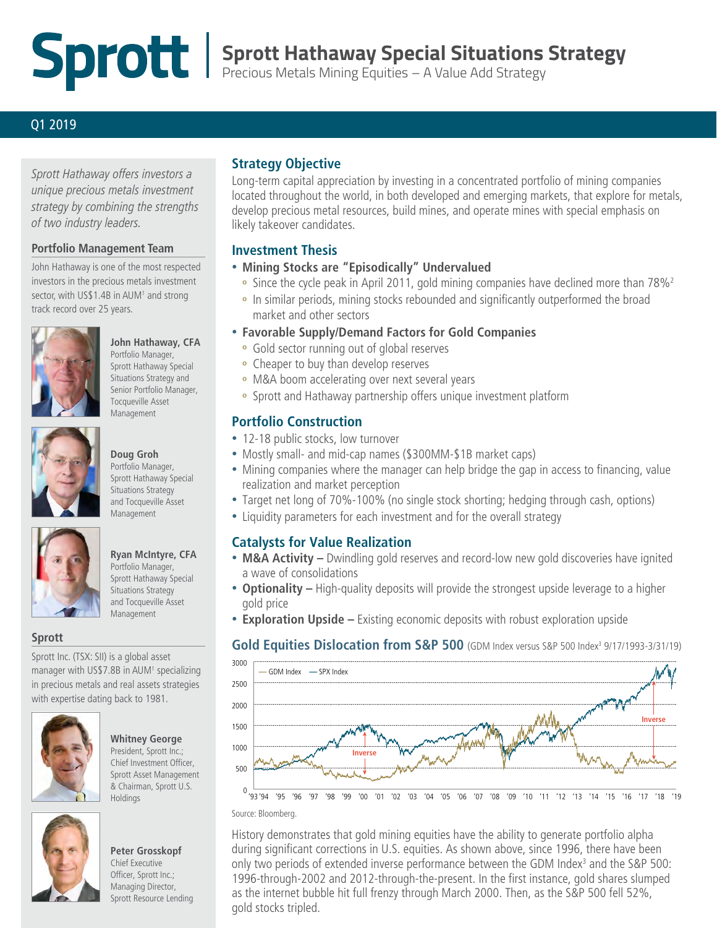# **Sprott Hathaway Special Situations Strategy**

Precious Metals Mining Equities – A Value Add Strategy

### Q1 2019

*Sprott Hathaway offers investors a unique precious metals investment strategy by combining the strengths of two industry leaders.*

#### **Portfolio Management Team**

John Hathaway is one of the most respected investors in the precious metals investment sector, with US\$1.4B in AUM<sup>1</sup> and strong track record over 25 years.



## **John Hathaway, CFA**

Portfolio Manager, Sprott Hathaway Special Situations Strategy and Senior Portfolio Manager, Tocqueville Asset Management



# **Doug Groh**

Portfolio Manager, Sprott Hathaway Special Situations Strategy and Tocqueville Asset Management



### **Ryan McIntyre, CFA**

Portfolio Manager, Sprott Hathaway Special Situations Strategy and Tocqueville Asset Management

### **Sprott**

Sprott Inc. (TSX: SII) is a global asset manager with US\$7.8B in AUM<sup>1</sup> specializing in precious metals and real assets strategies with expertise dating back to 1981.



### **Whitney George**

President, Sprott Inc.; Chief Investment Officer, Sprott Asset Management & Chairman, Sprott U.S. Holdings



### **Peter Grosskopf**

Chief Executive Officer, Sprott Inc.; Managing Director, Sprott Resource Lending

### **Strategy Objective**

Long-term capital appreciation by investing in a concentrated portfolio of mining companies located throughout the world, in both developed and emerging markets, that explore for metals, develop precious metal resources, build mines, and operate mines with special emphasis on likely takeover candidates.

### **Investment Thesis**

### • **Mining Stocks are "Episodically" Undervalued**

- **º** Since the cycle peak in April 2011, gold mining companies have declined more than 78%2
- **º** In similar periods, mining stocks rebounded and significantly outperformed the broad market and other sectors
- **Favorable Supply/Demand Factors for Gold Companies**
	- **º** Gold sector running out of global reserves
	- **º** Cheaper to buy than develop reserves
	- **º** M&A boom accelerating over next several years
	- **º** Sprott and Hathaway partnership offers unique investment platform

### **Portfolio Construction**

- 12-18 public stocks, low turnover
- Mostly small- and mid-cap names (\$300MM-\$1B market caps)
- Mining companies where the manager can help bridge the gap in access to financing, value realization and market perception
- Target net long of 70%-100% (no single stock shorting; hedging through cash, options)
- Liquidity parameters for each investment and for the overall strategy

### **Catalysts for Value Realization**

- **M&A Activity** Dwindling gold reserves and record-low new gold discoveries have ignited a wave of consolidations
- **Optionality –** High-quality deposits will provide the strongest upside leverage to a higher gold price
- **Exploration Upside –** Existing economic deposits with robust exploration upside

### Gold Equities Dislocation from S&P 500 (GDM Index versus S&P 500 Index<sup>3</sup> 9/17/1993-3/31/19)





History demonstrates that gold mining equities have the ability to generate portfolio alpha during significant corrections in U.S. equities. As shown above, since 1996, there have been only two periods of extended inverse performance between the GDM Index<sup>3</sup> and the S&P 500: 1996-through-2002 and 2012-through-the-present. In the first instance, gold shares slumped as the internet bubble hit full frenzy through March 2000. Then, as the S&P 500 fell 52%, gold stocks tripled.